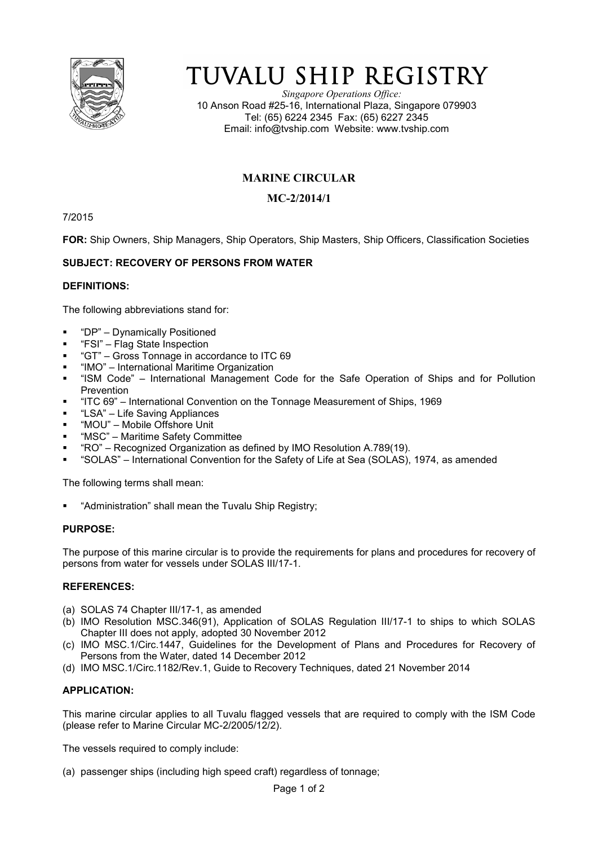

# TUVALU SHIP REGISTRY

*Singapore Operations Office:* 10 Anson Road #25-16, International Plaza, Singapore 079903 Tel: (65) 6224 2345 Fax: (65) 6227 2345 Email: info@tvship.com Website: www.tvship.com

## **MARINE CIRCULAR**

### **MC-2/2014/1**

7/2015

**FOR:** Ship Owners, Ship Managers, Ship Operators, Ship Masters, Ship Officers, Classification Societies

#### **SUBJECT: RECOVERY OF PERSONS FROM WATER**

#### **DEFINITIONS:**

The following abbreviations stand for:

- "DP" Dynamically Positioned
- "FSI" Flag State Inspection
- "GT" Gross Tonnage in accordance to ITC 69
- "IMO" International Maritime Organization
- "ISM Code" International Management Code for the Safe Operation of Ships and for Pollution Prevention
- "ITC 69" International Convention on the Tonnage Measurement of Ships, 1969
- "LSA" Life Saving Appliances
- "MOU" Mobile Offshore Unit
- "MSC" Maritime Safety Committee
- "RO" Recognized Organization as defined by IMO Resolution A.789(19).
- "SOLAS" International Convention for the Safety of Life at Sea (SOLAS), 1974, as amended

The following terms shall mean:

"Administration" shall mean the Tuvalu Ship Registry;

#### **PURPOSE:**

The purpose of this marine circular is to provide the requirements for plans and procedures for recovery of persons from water for vessels under SOLAS III/17-1.

#### **REFERENCES:**

- (a) SOLAS 74 Chapter III/17-1, as amended
- (b) IMO Resolution MSC.346(91), Application of SOLAS Regulation III/17-1 to ships to which SOLAS Chapter III does not apply, adopted 30 November 2012
- (c) IMO MSC.1/Circ.1447, Guidelines for the Development of Plans and Procedures for Recovery of Persons from the Water, dated 14 December 2012
- (d) IMO MSC.1/Circ.1182/Rev.1, Guide to Recovery Techniques, dated 21 November 2014

#### **APPLICATION:**

This marine circular applies to all Tuvalu flagged vessels that are required to comply with the ISM Code (please refer to Marine Circular MC-2/2005/12/2).

The vessels required to comply include:

(a) passenger ships (including high speed craft) regardless of tonnage;